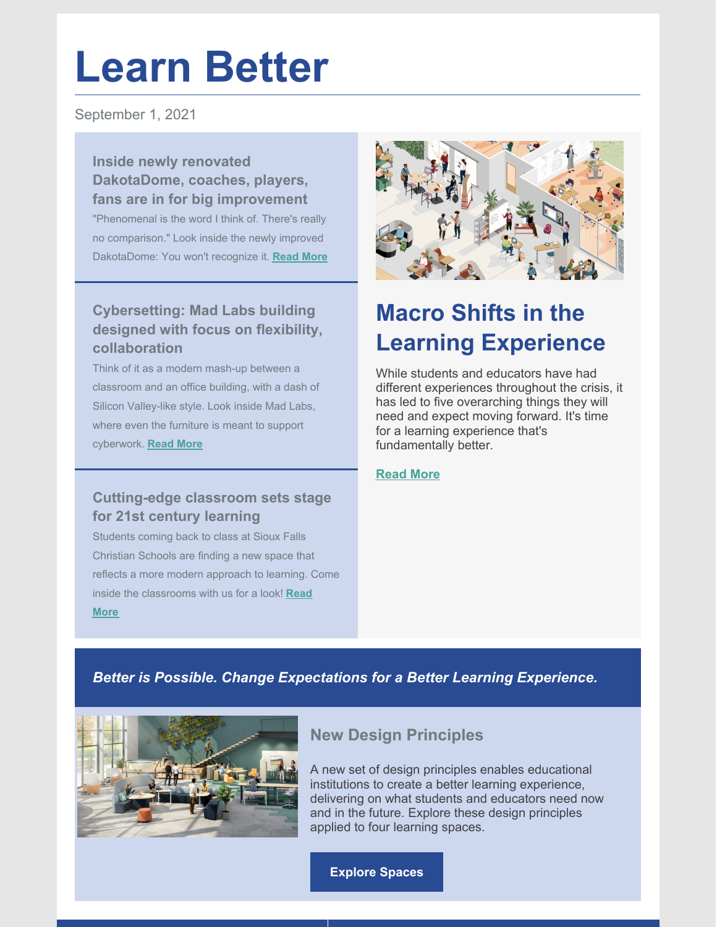# **Learn Better**

September 1, 2021

**Inside newly renovated DakotaDome, coaches, players, fans are in for big improvement**

"Phenomenal is the word I think of. There's really no comparison." Look inside the newly improved DakotaDome: You won't recognize it. **[Read](https://www.siouxfalls.business/inside-the-newly-renovated-dakotadome-coaches-players-and-fans-are-in-for-a-big-improvement/?fbclid=IwAR07LND7lZVkyMOavQJbLAxCPIa4ag5hVhIJpElFaTbv_Qp862gTJytgXG4) More**

### **Cybersetting: Mad Labs building designed with focus on flexibility, collaboration**

Think of it as a modern mash-up between a classroom and an office building, with a dash of Silicon Valley-like style. Look inside Mad Labs, where even the furniture is meant to support cyberwork. **[Read](https://www.siouxfalls.business/cyber-setting-mad-labs-building-designed-with-focus-on-flexibility-collaboration/?fbclid=IwAR0vQEgQuzktKGYoCWt82rF28PB5YjUYhLh0Wi6UJMnUiOmYRMbneDSVVvU) More**

### **Cutting-edge classroom sets stage for 21st century learning**

Students coming back to class at Sioux Falls Christian Schools are finding a new space that reflects a more modern approach to learning. Come inside the [classrooms](https://www.siouxfalls.business/cutting-edge-classroom-sets-stage-for-21st-century-learning/?fbclid=IwAR1W3PVd27X8ayrDfEFrbacVa-_CaWDHlr4KbTGsRbQr-Fvat4CA16Bqrbo) with us for a look! **Read More**



## **Macro Shifts in the Learning Experience**

While students and educators have had different experiences throughout the crisis, it has led to five overarching things they will need and expect moving forward. It's time for a learning experience that's fundamentally better.

#### **[Read](https://www.steelcase.com/research/articles/learn-better/) More**

### *Better is Possible. Change Expectations for a Better Learning Experience.*



### **New Design Principles**

A new set of design principles enables educational institutions to create a better learning experience, delivering on what students and educators need now and in the future. Explore these design principles applied to four learning spaces.